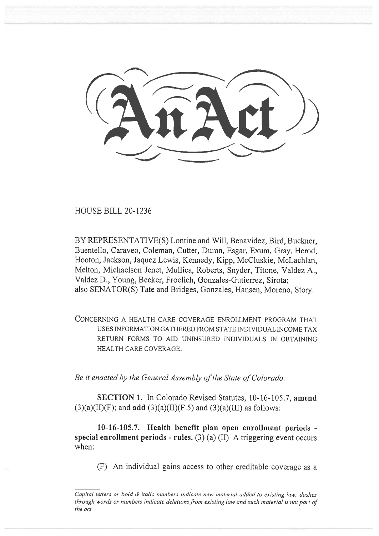HOUSE BILL 20-1236

BY REPRESENTATIVE(S) Lontine and Will, Benavidez, Bird, Buckner, Buentello, Caraveo, Coleman, Cutter, Duran, Esgar, Exum, Gray, Herod, Hooton, Jackson, Jaquez Lewis, Kennedy, Kipp, McCluskie, McLachlan, Melton, Michaelson Jenet, Mullica, Roberts, Snyder, Titone, Valdez A., Valdez D., Young, Becker, Froelich, Gonzales-Gutierrez, Sirota; also SENATOR(S) Tate and Bridges, Gonzales, Hansen, Moreno, Story.

CONCERNING A HEALTH CARE COVERAGE ENROLLMENT PROGRAM THAT USES INFORMATION GATHERED FROM STATE INDIVIDUAL INCOME TAX RETURN FORMS TO AID UNINSURED INDIVIDUALS IN OBTAINING HEALTH CARE COVERAGE.

*Be it enacted by the General Assembly of the State of Colorado:* 

**SECTION 1.** In Colorado Revised Statutes, 10-16-105.7, **amend**   $(3)(a)(II)(F)$ ; and **add**  $(3)(a)(II)(F.5)$  and  $(3)(a)(III)$  as follows:

**10-16-105.7. Health benefit plan open enrollment periods special enrollment periods - rules.** (3) (a) (II) A triggering event occurs when:

(F) An individual gains access to other creditable coverage as a

*Capital letters or bold & italic numbers indicate new material added to existing law; dashes through words or numbers indicate deletions from existing law and such material is not part of the act.*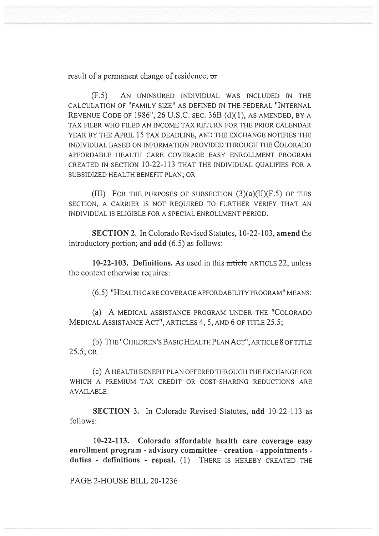result of a permanent change of residence; **or** 

(F.5) AN UNINSURED INDIVIDUAL WAS INCLUDED IN THE CALCULATION OF "FAMILY SIZE" AS DEFINED IN THE FEDERAL "INTERNAL REVENUE CODE OF 1986", 26 U.S.C. SEC. 36B (d)(1), AS AMENDED, BY A TAX FILER WHO FILED AN INCOME TAX RETURN FOR THE PRIOR CALENDAR YEAR BY THE APRIL 15 TAX DEADLINE, AND THE EXCHANGE NOTIFIES THE INDIVIDUAL BASED ON INFORMATION PROVIDED THROUGH THE COLORADO AFFORDABLE HEALTH CARE COVERAGE EASY ENROLLMENT PROGRAM CREATED IN SECTION 10-22-113 THAT THE INDIVIDUAL QUALIFIES FOR A SUBSIDIZED HEALTH BENEFIT PLAN; OR

(III) FOR THE PURPOSES OF SUBSECTION  $(3)(a)(II)(F.5)$  OF THIS SECTION, A CARRIER IS NOT REQUIRED TO FURTHER VERIFY THAT AN INDIVIDUAL IS ELIGIBLE FOR A SPECIAL ENROLLMENT PERIOD.

**SECTION 2.** In Colorado Revised Statutes, 10-22-103, **amend** the introductory portion; and **add** (6.5) as follows:

10-22-103. Definitions. As used in this article ARTICLE 22, unless the context otherwise requires:

(6.5) "HEALTH CARE COVERAGE AFFORDABILITY PROGRAM" MEANS:

(a) A MEDICAL ASSISTANCE PROGRAM UNDER THE "COLORADO MEDICAL ASSISTANCE ACT", ARTICLES 4, 5, AND 6 OF TITLE 25.5;

(b) THE "CHILDREN'S BASIC HEALTH PLAN ACT", ARTICLE 8 OF TITLE 25.5; OR

(c) A HEALTH BENEFIT PLAN OFFERED THROUGH THE EXCHANGE FOR WHICH A PREMIUM TAX CREDIT OR COST-SHARING REDUCTIONS ARE AVAILABLE.

**SECTION 3.** In Colorado Revised Statutes, **add** 10-22-113 as follows:

**10-22-113. Colorado affordable health care coverage easy enrollment program - advisory committee - creation - appointments duties - definitions - repeal.** (1) THERE IS HEREBY CREATED THE

PAGE 2-HOUSE BILL 20-1236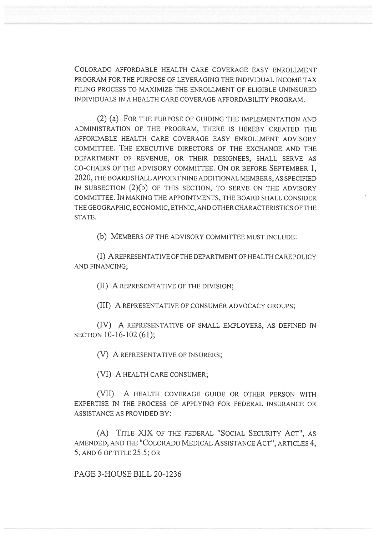COLORADO AFFORDABLE HEALTH CARE COVERAGE EASY ENROLLMENT PROGRAM FOR THE PURPOSE OF LEVERAGING THE INDIVIDUAL INCOME TAX FILING PROCESS TO MAXIMIZE THE ENROLLMENT OF ELIGIBLE UNINSURED INDIVIDUALS IN A HEALTH CARE COVERAGE AFFORDABILITY PROGRAM.

(2) (a) FOR THE PURPOSE OF GUIDING THE IMPLEMENTATION AND ADMINISTRATION OF THE PROGRAM, THERE IS HEREBY CREATED THE AFFORDABLE HEALTH CARE COVERAGE EASY ENROLLMENT ADVISORY COMMITTEE. THE EXECUTIVE DIRECTORS OF THE EXCHANGE AND THE DEPARTMENT OF REVENUE, OR THEIR DESIGNEES, SHALL SERVE AS CO-CHAIRS OF THE ADVISORY COMMITTEE. ON OR BEFORE SEPTEMBER 1, 2020, THE BOARD SHALL APPOINT NINE ADDITIONAL MEMBERS, AS SPECIFIED IN SUBSECTION (2)(b) OF THIS SECTION, TO SERVE ON THE ADVISORY COMMITTEE. IN MAKING THE APPOINTMENTS, THE BOARD SHALL CONSIDER THE GEOGRAPHIC, ECONOMIC, ETHNIC, AND OTHER CHARACTERISTICS OF THE STATE.

(b) MEMBERS OF THE ADVISORY COMMITTEE MUST INCLUDE:

(I) A REPRESENTATIVE OF THE DEPARTMENT OF HEALTH CARE POLICY AND FINANCING;

(II) A REPRESENTATIVE OF THE DIVISION;

(III) A REPRESENTATIVE OF CONSUMER ADVOCACY GROUPS;

(IV) A REPRESENTATIVE OF SMALL EMPLOYERS, AS DEFINED IN SECTION 10-16-102 (61);

(V) A REPRESENTATIVE OF INSURERS;

(VI) A HEALTH CARE CONSUMER;

(VII) A HEALTH COVERAGE GUIDE OR OTHER PERSON WITH EXPERTISE IN THE PROCESS OF APPLYING FOR FEDERAL INSURANCE OR ASSISTANCE AS PROVIDED BY:

(A) TITLE XIX OF THE FEDERAL "SOCIAL SECURITY ACT", AS AMENDED, AND THE "COLORADO MEDICAL ASSISTANCE ACT", ARTICLES 4, 5, AND 6 OF TITLE 25.5; OR

PAGE 3-HOUSE BILL 20-1236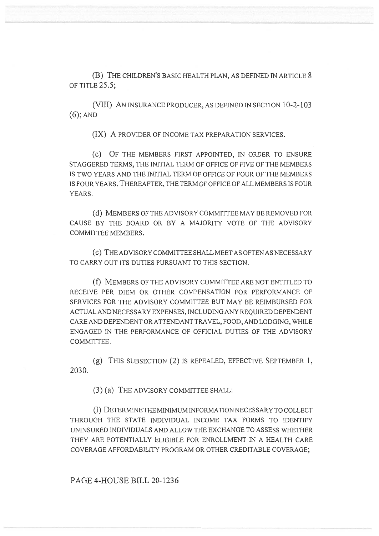(B) THE CHILDREN'S BASIC HEALTH PLAN, AS DEFINED IN ARTICLE 8 OF TITLE 25.5;

(VIII) AN INSURANCE PRODUCER, AS DEFINED IN SECTION 10-2-103 (6); AND

(IX) A PROVIDER OF INCOME TAX PREPARATION SERVICES.

(C) OF THE MEMBERS FIRST APPOINTED, IN ORDER TO ENSURE STAGGERED TERMS, THE INITIAL TERM OF OFFICE OF FIVE OF THE MEMBERS IS TWO YEARS AND THE INITIAL TERM OF OFFICE OF FOUR OF THE MEMBERS IS FOUR YEARS. THEREAFTER, THE TERM OF OFFICE OF ALL MEMBERS IS FOUR YEARS.

(d) MEMBERS OF THE ADVISORY COMMITTEE MAY BE REMOVED FOR CAUSE BY THE BOARD OR BY A MAJORITY VOTE OF THE ADVISORY COMMITTEE MEMBERS.

(e) THE ADVISORY COMMITTEE SHALL MEET AS OFTEN AS NECESSARY TO CARRY OUT ITS DUTIES PURSUANT TO THIS SECTION.

(f) MEMBERS OF THE ADVISORY COMMITTEE ARE NOT ENTITLED TO RECEIVE PER DIEM OR OTHER COMPENSATION FOR PERFORMANCE OF SERVICES FOR THE ADVISORY COMMITTEE BUT MAY BE REIMBURSED FOR ACTUAL AND NECESSARY EXPENSES, INCLUDING ANY REQUIRED DEPENDENT CARE AND DEPENDENT OR ATTENDANT TRAVEL, FOOD, AND LODGING, WHILE ENGAGED IN THE PERFORMANCE OF OFFICIAL DUTIES OF THE ADVISORY COMMITTEE.

(g) THIS SUBSECTION (2) IS REPEALED, EFFECTIVE SEPTEMBER 1, 2030.

(3) (a) THE ADVISORY COMMITTEE SHALL:

(I) DETERMINE THE MINIMUM INFORMATION NECESSARY TO COLLECT THROUGH THE STATE INDIVIDUAL INCOME TAX FORMS TO IDENTIFY UNINSURED INDIVIDUALS AND ALLOW THE EXCHANGE TO ASSESS WHETHER THEY ARE POTENTIALLY ELIGIBLE FOR ENROLLMENT IN A HEALTH CARE COVERAGE AFFORDABILITY PROGRAM OR OTHER CREDITABLE COVERAGE;

## PAGE 4-HOUSE BILL 20-1236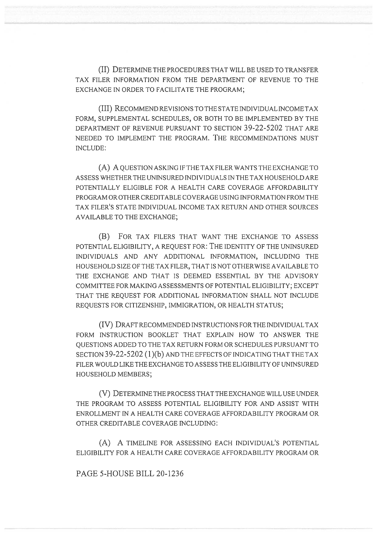(II) DETERMINE THE PROCEDURES THAT WILL BE USED TO TRANSFER TAX FILER INFORMATION FROM THE DEPARTMENT OF REVENUE TO THE EXCHANGE IN ORDER TO FACILITATE THE PROGRAM;

(III) RECOMMEND REVISIONS TO THE STATE INDIVIDUAL INCOME TAX FORM, SUPPLEMENTAL SCHEDULES, OR BOTH TO BE IMPLEMENTED BY THE DEPARTMENT OF REVENUE PURSUANT TO SECTION 39-22-5202 THAT ARE NEEDED TO IMPLEMENT THE PROGRAM. THE RECOMMENDATIONS MUST INCLUDE:

(A) A QUESTION ASKING IF THE TAX FILER WANTS THE EXCHANGE TO ASSESS WHETHER THE UNINSURED INDIVIDUALS IN THE TAX HOUSEHOLD ARE POTENTIALLY ELIGIBLE FOR A HEALTH CARE COVERAGE AFFORDABILITY PROGRAM OR OTHER CREDITABLE COVERAGE USING INFORMATION FROM THE TAX FILER'S STATE INDIVIDUAL INCOME TAX RETURN AND OTHER SOURCES AVAILABLE TO THE EXCHANGE;

(B) FOR TAX FILERS THAT WANT THE EXCHANGE TO ASSESS POTENTIAL ELIGIBILITY, A REQUEST FOR: THE IDENTITY OF THE UNINSURED INDIVIDUALS AND ANY ADDITIONAL INFORMATION, INCLUDING THE HOUSEHOLD SIZE OF THE TAX FILER, THAT IS NOT OTHERWISE AVAILABLE TO THE EXCHANGE AND THAT IS DEEMED ESSENTIAL BY THE ADVISORY COMMITTEE FOR MAKING ASSESSMENTS OF POTENTIAL ELIGIBILITY; EXCEPT THAT THE REQUEST FOR ADDITIONAL INFORMATION SHALL NOT INCLUDE REQUESTS FOR CITIZENSHIP, IMMIGRATION, OR HEALTH STATUS;

(IV) DRAFT RECOMMENDED INSTRUCTIONS FOR THE INDIVIDUAL TAX FORM INSTRUCTION BOOKLET THAT EXPLAIN HOW TO ANSWER THE QUESTIONS ADDED TO THE TAX RETURN FORM OR SCHEDULES PURSUANT TO SECTION 39-22-5202 (1)(b) AND THE EFFECTS OF INDICATING THAT THE TAX FILER WOULD LIKE THE EXCHANGE TO ASSESS THE ELIGIBILITY OF UNINSURED HOUSEHOLD MEMBERS;

(V) DETERMINE THE PROCESS THAT THE EXCHANGE WILL USE UNDER THE PROGRAM TO ASSESS POTENTIAL ELIGIBILITY FOR AND ASSIST WITH ENROLLMENT IN A HEALTH CARE COVERAGE AFFORDABILITY PROGRAM OR OTHER CREDITABLE COVERAGE INCLUDING:

(A) A TIMELINE FOR ASSESSING EACH INDIVIDUAL'S POTENTIAL ELIGIBILITY FOR A HEALTH CARE COVERAGE AFFORDABILITY PROGRAM OR

PAGE 5-HOUSE BILL 20-1236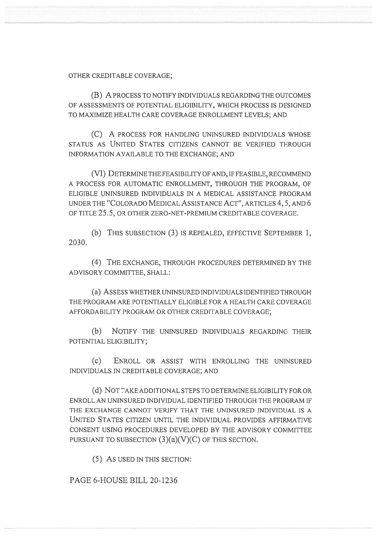## OTHER CREDITABLE COVERAGE;

(B) A PROCESS TO NOTIFY INDIVIDUALS REGARDING THE OUTCOMES OF ASSESSMENTS OF POTENTIAL ELIGIBILITY, WHICH PROCESS IS DESIGNED TO MAXIMIZE HEALTH CARE COVERAGE ENROLLMENT LEVELS; AND

(C) A PROCESS FOR HANDLING UNINSURED INDIVIDUALS WHOSE STATUS AS UNITED STATES CITIZENS CANNOT BE VERIFIED THROUGH INFORMATION AVAILABLE TO THE EXCHANGE; AND

(VI) DETERMINE THE FEASIBILITY OF AND, IF FEASIBLE, RECOMMEND A PROCESS FOR AUTOMATIC ENROLLMENT, THROUGH THE PROGRAM, OF ELIGIBLE UNINSURED INDIVIDUALS IN A MEDICAL ASSISTANCE PROGRAM UNDER THE "COLORADO MEDICAL ASSISTANCE ACT", ARTICLES 4, 5, AND 6 OF TITLE 25.5, OR OTHER ZERO-NET-PREMIUM CREDITABLE COVERAGE.

(b) THIS SUBSECTION (3) IS REPEALED, EFFECTIVE SEPTEMBER 1, 2030.

(4) THE EXCHANGE, THROUGH PROCEDURES DETERMINED BY THE ADVISORY COMMITTEE, SHALL:

(a) ASSESS WHETHER UNINSURED INDIVIDUALS IDENTIFIED THROUGH THE PROGRAM ARE POTENTIALLY ELIGIBLE FOR A HEALTH CARE COVERAGE AFFORDABILITY PROGRAM OR OTHER CREDITABLE COVERAGE;

(b) NOTIFY THE UNINSURED INDIVIDUALS REGARDING THEIR POTENTIAL ELIGIBILITY;

(c) ENROLL OR ASSIST WITH ENROLLING THE UNINSURED INDIVIDUALS IN CREDITABLE COVERAGE; AND

(d) NOT TAKE ADDITIONAL STEPS TO DETERMINE ELIGIBILITY FOR OR ENROLL AN UNINSURED INDIVIDUAL IDENTIFIED THROUGH THE PROGRAM IF THE EXCHANGE CANNOT VERIFY THAT THE UNINSURED INDIVIDUAL IS A UNITED STATES CITIZEN UNTIL THE INDIVIDUAL PROVIDES AFFIRMATIVE CONSENT USING PROCEDURES DEVELOPED BY THE ADVISORY COMMITTEE PURSUANT TO SUBSECTION  $(3)(a)(V)(C)$  OF THIS SECTION.

(5) As USED IN THIS SECTION:

## PAGE 6-HOUSE BILL 20-1236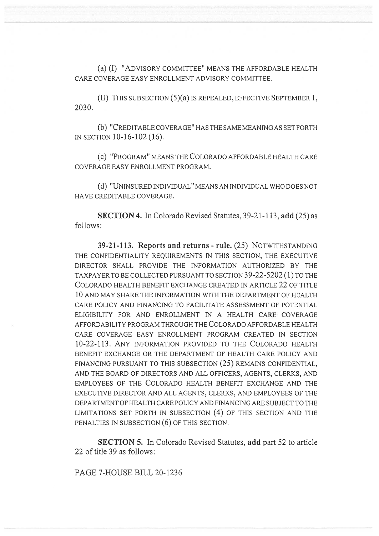(a) (I) "ADVISORY COMMITTEE" MEANS THE AFFORDABLE HEALTH CARE COVERAGE EASY ENROLLMENT ADVISORY COMMITTEE.

(II) THIS SUBSECTION (5)(a) IS REPEALED, EFFECTIVE SEPTEMBER 1, 2030.

(b) "CREDITABLE COVERAGE" HAS THE SAME MEANING AS SET FORTH IN SECTION 10-16-102 (16).

(c) "PROGRAM" MEANS THE COLORADO AFFORDABLE HEALTH CARE COVERAGE EASY ENROLLMENT PROGRAM.

(d) "UNINSURED INDIVIDUAL" MEANS AN INDIVIDUAL WHO DOES NOT HAVE CREDITABLE COVERAGE.

**SECTION 4.** In Colorado Revised Statutes, 39-21-113, **add** (25) as follows:

**39-21-113. Reports and returns - rule.** (25) NOTWITHSTANDING THE CONFIDENTIALITY REQUIREMENTS IN THIS SECTION, THE EXECUTIVE DIRECTOR SHALL PROVIDE THE INFORMATION AUTHORIZED BY THE TAXPAYER TO BE COLLECTED PURSUANT TO SECTION 39-22-5202 (1) TO THE COLORADO HEALTH BENEFIT EXCHANGE CREATED IN ARTICLE 22 OF TITLE 10 AND MAY SHARE THE INFORMATION WITH THE DEPARTMENT OF HEALTH CARE POLICY AND FINANCING TO FACILITATE ASSESSMENT OF POTENTIAL ELIGIBILITY FOR AND ENROLLMENT IN A HEALTH CARE COVERAGE AFFORDABILITY PROGRAM THROUGH THE COLORADO AFFORDABLE HEALTH CARE COVERAGE EASY ENROLLMENT PROGRAM CREATED IN SECTION 10-22-113. ANY INFORMATION PROVIDED TO THE COLORADO HEALTH BENEFIT EXCHANGE OR THE DEPARTMENT OF HEALTH CARE POLICY AND FINANCING PURSUANT TO THIS SUBSECTION (25) REMAINS CONFIDENTIAL, AND THE BOARD OF DIRECTORS AND ALL OFFICERS, AGENTS, CLERKS, AND EMPLOYEES OF THE COLORADO HEALTH BENEFIT EXCHANGE AND THE EXECUTIVE DIRECTOR AND ALL AGENTS, CLERKS, AND EMPLOYEES OF THE DEPARTMENT OF HEALTH CARE POLICY AND FINANCING ARE SUBJECT TO THE LIMITATIONS SET FORTH IN SUBSECTION (4) OF THIS SECTION AND THE PENALTIES IN SUBSECTION (6) OF THIS SECTION.

**SECTION 5.** In Colorado Revised Statutes, **add** part 52 to article 22 of title 39 as follows:

PAGE 7-HOUSE BILL 20-1236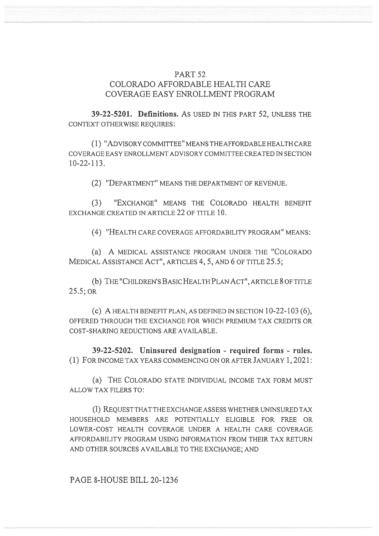## PART 52 COLORADO AFFORDABLE HEALTH CARE COVERAGE EASY ENROLLMENT PROGRAM

**39-22-5201. Definitions.** As USED IN THIS PART 52, UNLESS THE CONTEXT OTHERWISE REQUIRES:

(1) "ADVISORY COMMITTEE" MEANS THE AFFORDABLE HEALTH CARE COVERAGE EASY ENROLLMENT ADVISORY COMMITTEE CREATED IN SECTION 10-22-113.

(2) "DEPARTMENT" MEANS THE DEPARTMENT OF REVENUE.

(3) "EXCHANGE" MEANS THE COLORADO HEALTH BENEFIT EXCHANGE CREATED IN ARTICLE 22 OF TITLE 10.

(4) "HEALTH CARE COVERAGE AFFORDABILITY PROGRAM" MEANS:

(a) A MEDICAL ASSISTANCE PROGRAM UNDER THE "COLORADO MEDICAL ASSISTANCE ACT", ARTICLES 4, 5, AND 6 OF TITLE 25.5;

(b) THE "CHILDREN'S BASIC HEALTH PLAN ACT", ARTICLE 8 OF TITLE 25.5; OR

(c) A HEALTH BENEFIT PLAN, AS DEFINED IN SECTION  $10-22-103$  (6), OFFERED THROUGH THE EXCHANGE FOR WHICH PREMIUM TAX CREDITS OR COST-SHARING REDUCTIONS ARE AVAILABLE.

**39-22-5202. Uninsured designation - required forms - rules.**  (1) FOR INCOME TAX YEARS COMMENCING ON OR AFTER JANUARY 1, 2021:

(a) THE COLORADO STATE INDIVIDUAL INCOME TAX FORM MUST ALLOW TAX FILERS TO:

(I) REQUEST THAT THE EXCHANGE ASSESS WHETHER UNINSURED TAX HOUSEHOLD MEMBERS ARE POTENTIALLY ELIGIBLE FOR FREE OR LOWER-COST HEALTH COVERAGE UNDER A HEALTH CARE COVERAGE AFFORDABILITY PROGRAM USING INFORMATION FROM THEIR TAX RETURN AND OTHER SOURCES AVAILABLE TO THE EXCHANGE; AND

PAGE 8-HOUSE BILL 20-1236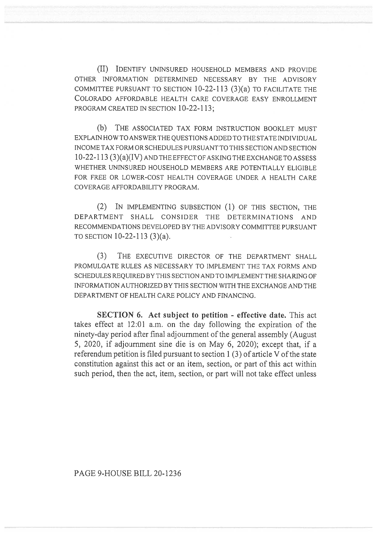(II) IDENTIFY UNINSURED HOUSEHOLD MEMBERS AND PROVIDE OTHER INFORMATION DETERMINED NECESSARY BY THE ADVISORY COMMITTEE PURSUANT TO SECTION 10-22-113 (3)(a) TO FACILITATE THE COLORADO AFFORDABLE HEALTH CARE COVERAGE EASY ENROLLMENT PROGRAM CREATED IN SECTION 10-22-113;

(b) THE ASSOCIATED TAX FORM INSTRUCTION BOOKLET MUST EXPLAIN HOW TO ANSWER THE QUESTIONS ADDED TO THE STATE INDIVIDUAL INCOME TAX FORM OR SCHEDULES PURSUANT TO THIS SECTION AND SECTION 10-22-113 (3)(a)(IV) AND THE EFFECT OF ASKING THE EXCHANGE TO ASSESS WHETHER UNINSURED HOUSEHOLD MEMBERS ARE POTENTIALLY ELIGIBLE FOR FREE OR LOWER-COST HEALTH COVERAGE UNDER A HEALTH CARE COVERAGE AFFORDABILITY PROGRAM.

(2) IN IMPLEMENTING SUBSECTION (1) OF THIS SECTION, THE DEPARTMENT SHALL CONSIDER THE DETERMINATIONS AND RECOMMENDATIONS DEVELOPED BY THE ADVISORY COMMITTEE PURSUANT TO SECTION 10-22-113 (3)(a).

(3) THE EXECUTIVE DIRECTOR OF THE DEPARTMENT SHALL PROMULGATE RULES AS NECESSARY TO IMPLEMENT THE TAX FORMS AND SCHEDULES REQUIRED BY THIS SECTION AND TO IMPLEMENT THE SHARING OF INFORMATION AUTHORIZED BY THIS SECTION WITH THE EXCHANGE AND THE DEPARTMENT OF HEALTH CARE POLICY AND FINANCING.

**SECTION 6. Act subject to petition - effective date.** This act takes effect at 12:01 a.m. on the day following the expiration of the ninety-day period after final adjournment of the general assembly (August 5, 2020, if adjournment sine die is on May 6, 2020); except that, if a referendum petition is filed pursuant to section 1 (3) of article V of the state constitution against this act or an item, section, or part of this act within such period, then the act, item, section, or part will not take effect unless